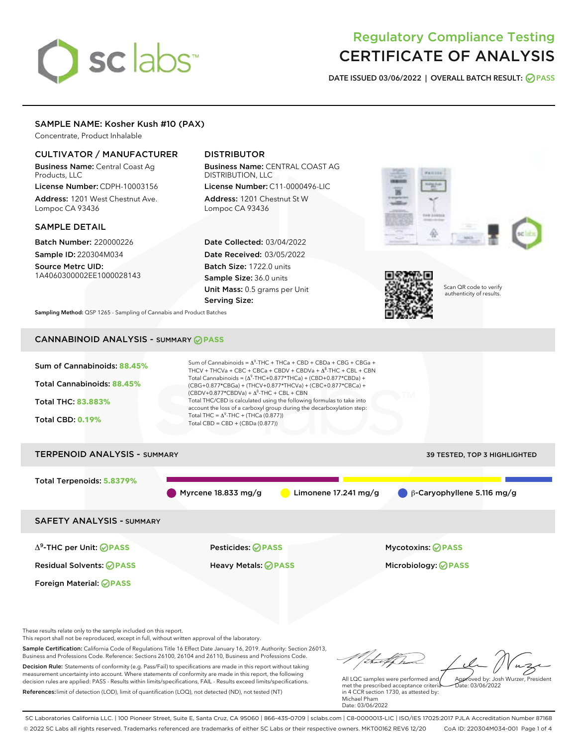# sclabs<sup>\*</sup>

## Regulatory Compliance Testing CERTIFICATE OF ANALYSIS

DATE ISSUED 03/06/2022 | OVERALL BATCH RESULT: @ PASS

#### SAMPLE NAME: Kosher Kush #10 (PAX)

Concentrate, Product Inhalable

#### CULTIVATOR / MANUFACTURER

Business Name: Central Coast Ag Products, LLC

License Number: CDPH-10003156 Address: 1201 West Chestnut Ave. Lompoc CA 93436

#### SAMPLE DETAIL

Batch Number: 220000226 Sample ID: 220304M034

Source Metrc UID: 1A4060300002EE1000028143

#### DISTRIBUTOR

Business Name: CENTRAL COAST AG DISTRIBUTION, LLC License Number: C11-0000496-LIC

Address: 1201 Chestnut St W Lompoc CA 93436

Date Collected: 03/04/2022 Date Received: 03/05/2022 Batch Size: 1722.0 units Sample Size: 36.0 units Unit Mass: 0.5 grams per Unit Serving Size:





Scan QR code to verify authenticity of results.

Sampling Method: QSP 1265 - Sampling of Cannabis and Product Batches

### CANNABINOID ANALYSIS - SUMMARY **PASS**



Business and Professions Code. Reference: Sections 26100, 26104 and 26110, Business and Professions Code. Decision Rule: Statements of conformity (e.g. Pass/Fail) to specifications are made in this report without taking measurement uncertainty into account. Where statements of conformity are made in this report, the following decision rules are applied: PASS - Results within limits/specifications, FAIL - Results exceed limits/specifications. References:limit of detection (LOD), limit of quantification (LOQ), not detected (ND), not tested (NT)

All LQC samples were performed and Approved by: Josh Wurzer, President  $ate: 03/06/2022$ 

met the prescribed acceptance criteria in 4 CCR section 1730, as attested by: Michael Pham Date: 03/06/2022

SC Laboratories California LLC. | 100 Pioneer Street, Suite E, Santa Cruz, CA 95060 | 866-435-0709 | sclabs.com | C8-0000013-LIC | ISO/IES 17025:2017 PJLA Accreditation Number 87168 © 2022 SC Labs all rights reserved. Trademarks referenced are trademarks of either SC Labs or their respective owners. MKT00162 REV6 12/20 CoA ID: 220304M034-001 Page 1 of 4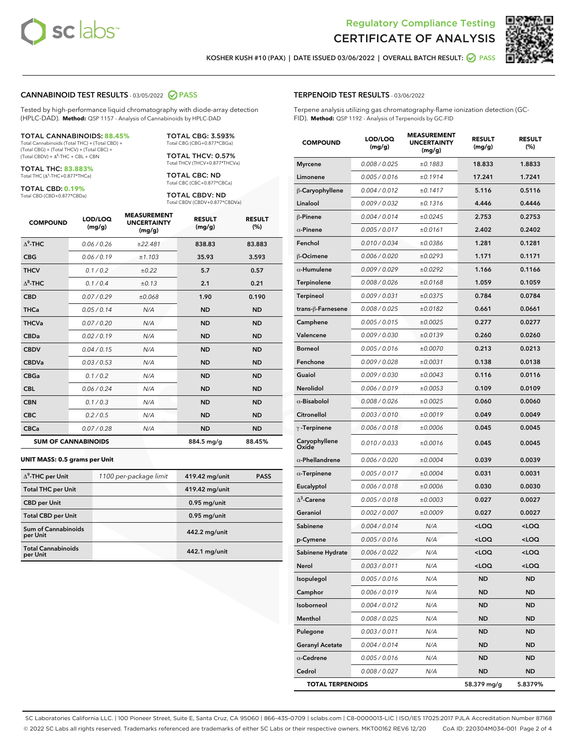



KOSHER KUSH #10 (PAX) | DATE ISSUED 03/06/2022 | OVERALL BATCH RESULT: @ PASS

#### CANNABINOID TEST RESULTS - 03/05/2022 2 PASS

Tested by high-performance liquid chromatography with diode-array detection (HPLC-DAD). **Method:** QSP 1157 - Analysis of Cannabinoids by HPLC-DAD

#### TOTAL CANNABINOIDS: **88.45%**

Total Cannabinoids (Total THC) + (Total CBD) + (Total CBG) + (Total THCV) + (Total CBC) +  $(Total CBDV) +  $\Delta^8$ -THC + CBL + CBN$ 

TOTAL THC: **83.883%** Total THC (Δ<sup>9</sup> -THC+0.877\*THCa)

TOTAL CBD: **0.19%**

Total CBD (CBD+0.877\*CBDa)

TOTAL CBG: 3.593% Total CBG (CBG+0.877\*CBGa)

TOTAL THCV: 0.57% Total THCV (THCV+0.877\*THCVa)

TOTAL CBC: ND Total CBC (CBC+0.877\*CBCa)

TOTAL CBDV: ND Total CBDV (CBDV+0.877\*CBDVa)

| <b>COMPOUND</b>  | LOD/LOQ<br>(mg/g)          | <b>MEASUREMENT</b><br><b>UNCERTAINTY</b><br>(mg/g) | <b>RESULT</b><br>(mg/g) | <b>RESULT</b><br>(%) |
|------------------|----------------------------|----------------------------------------------------|-------------------------|----------------------|
| $\Lambda^9$ -THC | 0.06/0.26                  | ±22.481                                            | 838.83                  | 83.883               |
| <b>CBG</b>       | 0.06/0.19                  | ±1.103                                             | 35.93                   | 3.593                |
| <b>THCV</b>      | 0.1 / 0.2                  | ±0.22                                              | 5.7                     | 0.57                 |
| $\Delta^8$ -THC  | 0.1/0.4                    | ±0.13                                              | 2.1                     | 0.21                 |
| <b>CBD</b>       | 0.07/0.29                  | ±0.068                                             | 1.90                    | 0.190                |
| <b>THCa</b>      | 0.05/0.14                  | N/A                                                | <b>ND</b>               | <b>ND</b>            |
| <b>THCVa</b>     | 0.07/0.20                  | N/A                                                | <b>ND</b>               | <b>ND</b>            |
| <b>CBDa</b>      | 0.02/0.19                  | N/A                                                | <b>ND</b>               | <b>ND</b>            |
| <b>CBDV</b>      | 0.04 / 0.15                | N/A                                                | <b>ND</b>               | <b>ND</b>            |
| <b>CBDVa</b>     | 0.03/0.53                  | N/A                                                | <b>ND</b>               | <b>ND</b>            |
| <b>CBGa</b>      | 0.1/0.2                    | N/A                                                | <b>ND</b>               | <b>ND</b>            |
| <b>CBL</b>       | 0.06 / 0.24                | N/A                                                | <b>ND</b>               | <b>ND</b>            |
| <b>CBN</b>       | 0.1/0.3                    | N/A                                                | <b>ND</b>               | <b>ND</b>            |
| <b>CBC</b>       | 0.2 / 0.5                  | N/A                                                | <b>ND</b>               | <b>ND</b>            |
| <b>CBCa</b>      | 0.07/0.28                  | N/A                                                | <b>ND</b>               | <b>ND</b>            |
|                  | <b>SUM OF CANNABINOIDS</b> |                                                    | 884.5 mg/g              | 88.45%               |

#### **UNIT MASS: 0.5 grams per Unit**

| $\Delta^9$ -THC per Unit               | 1100 per-package limit | 419.42 mg/unit | <b>PASS</b> |
|----------------------------------------|------------------------|----------------|-------------|
| <b>Total THC per Unit</b>              |                        | 419.42 mg/unit |             |
| <b>CBD</b> per Unit                    |                        | $0.95$ mg/unit |             |
| <b>Total CBD per Unit</b>              |                        | $0.95$ mg/unit |             |
| <b>Sum of Cannabinoids</b><br>per Unit |                        | 442.2 mg/unit  |             |
| <b>Total Cannabinoids</b><br>per Unit  |                        | 442.1 mg/unit  |             |

| <b>COMPOUND</b>         | LOD/LOQ<br>(mg/g) | ASUREM<br><b>UNCERTAINTY</b><br>(mg/g) | <b>RESULT</b><br>(mg/g)                         | <b>RESULT</b><br>$(\%)$ |
|-------------------------|-------------------|----------------------------------------|-------------------------------------------------|-------------------------|
| <b>Myrcene</b>          | 0.008 / 0.025     | ±0.1883                                | 18.833                                          | 1.8833                  |
| Limonene                | 0.005 / 0.016     | ±0.1914                                | 17.241                                          | 1.7241                  |
| β-Caryophyllene         | 0.004 / 0.012     | ±0.1417                                | 5.116                                           | 0.5116                  |
| Linalool                | 0.009 / 0.032     | ±0.1316                                | 4.446                                           | 0.4446                  |
| β-Pinene                | 0.004 / 0.014     | ±0.0245                                | 2.753                                           | 0.2753                  |
| $\alpha$ -Pinene        | 0.005 / 0.017     | ±0.0161                                | 2.402                                           | 0.2402                  |
| Fenchol                 | 0.010 / 0.034     | ±0.0386                                | 1.281                                           | 0.1281                  |
| β-Ocimene               | 0.006 / 0.020     | ±0.0293                                | 1.171                                           | 0.1171                  |
| $\alpha$ -Humulene      | 0.009 / 0.029     | ±0.0292                                | 1.166                                           | 0.1166                  |
| Terpinolene             | 0.008 / 0.026     | ±0.0168                                | 1.059                                           | 0.1059                  |
| <b>Terpineol</b>        | 0.009 / 0.031     | ±0.0375                                | 0.784                                           | 0.0784                  |
| trans-β-Farnesene       | 0.008 / 0.025     | ±0.0182                                | 0.661                                           | 0.0661                  |
| Camphene                | 0.005 / 0.015     | ±0.0025                                | 0.277                                           | 0.0277                  |
| Valencene               | 0.009 / 0.030     | ±0.0139                                | 0.260                                           | 0.0260                  |
| <b>Borneol</b>          | 0.005 / 0.016     | ±0.0070                                | 0.213                                           | 0.0213                  |
| Fenchone                | 0.009 / 0.028     | ±0.0031                                | 0.138                                           | 0.0138                  |
| Guaiol                  | 0.009 / 0.030     | ±0.0043                                | 0.116                                           | 0.0116                  |
| Nerolidol               | 0.006 / 0.019     | ±0.0053                                | 0.109                                           | 0.0109                  |
| $\alpha$ -Bisabolol     | 0.008 / 0.026     | ±0.0025                                | 0.060                                           | 0.0060                  |
| Citronellol             | 0.003 / 0.010     | ±0.0019                                | 0.049                                           | 0.0049                  |
| $\gamma$ -Terpinene     | 0.006 / 0.018     | ±0.0006                                | 0.045                                           | 0.0045                  |
| Caryophyllene<br>Oxide  | 0.010 / 0.033     | ±0.0016                                | 0.045                                           | 0.0045                  |
| $\alpha$ -Phellandrene  | 0.006 / 0.020     | ±0.0004                                | 0.039                                           | 0.0039                  |
| $\alpha$ -Terpinene     | 0.005 / 0.017     | ±0.0004                                | 0.031                                           | 0.0031                  |
| Eucalyptol              | 0.006 / 0.018     | ±0.0006                                | 0.030                                           | 0.0030                  |
| $\Delta^3$ -Carene      | 0.005 / 0.018     | ±0.0003                                | 0.027                                           | 0.0027                  |
| Geraniol                | 0.002 / 0.007     | ±0.0009                                | 0.027                                           | 0.0027                  |
| Sabinene                | 0.004 / 0.014     | N/A                                    | <loq< th=""><th><loq< th=""></loq<></th></loq<> | <loq< th=""></loq<>     |
| p-Cymene                | 0.005 / 0.016     | N/A                                    | <loq< th=""><th><loq< th=""></loq<></th></loq<> | <loq< th=""></loq<>     |
| Sabinene Hydrate        | 0.006 / 0.022     | N/A                                    | <loq< th=""><th><loq< th=""></loq<></th></loq<> | <loq< th=""></loq<>     |
| Nerol                   | 0.003 / 0.011     | N/A                                    | <loq< th=""><th><loq< th=""></loq<></th></loq<> | <loq< th=""></loq<>     |
| Isopulegol              | 0.005 / 0.016     | N/A                                    | ND                                              | ND                      |
| Camphor                 | 0.006 / 0.019     | N/A                                    | <b>ND</b>                                       | <b>ND</b>               |
| Isoborneol              | 0.004 / 0.012     | N/A                                    | ND                                              | ND                      |
| Menthol                 | 0.008 / 0.025     | N/A                                    | <b>ND</b>                                       | ND                      |
| Pulegone                | 0.003 / 0.011     | N/A                                    | <b>ND</b>                                       | <b>ND</b>               |
| <b>Geranyl Acetate</b>  | 0.004 / 0.014     | N/A                                    | ND                                              | ND                      |
| $\alpha$ -Cedrene       | 0.005 / 0.016     | N/A                                    | <b>ND</b>                                       | ND                      |
| Cedrol                  | 0.008 / 0.027     | N/A                                    | <b>ND</b>                                       | <b>ND</b>               |
| <b>TOTAL TERPENOIDS</b> |                   |                                        | 58.379 mg/g                                     | 5.8379%                 |

SC Laboratories California LLC. | 100 Pioneer Street, Suite E, Santa Cruz, CA 95060 | 866-435-0709 | sclabs.com | C8-0000013-LIC | ISO/IES 17025:2017 PJLA Accreditation Number 87168 © 2022 SC Labs all rights reserved. Trademarks referenced are trademarks of either SC Labs or their respective owners. MKT00162 REV6 12/20 CoA ID: 220304M034-001 Page 2 of 4

#### TERPENOID TEST RESULTS - 03/06/2022

Terpene analysis utilizing gas chromatography-flame ionization detection (GC-FID). **Method:** QSP 1192 - Analysis of Terpenoids by GC-FID

MEASUREMENT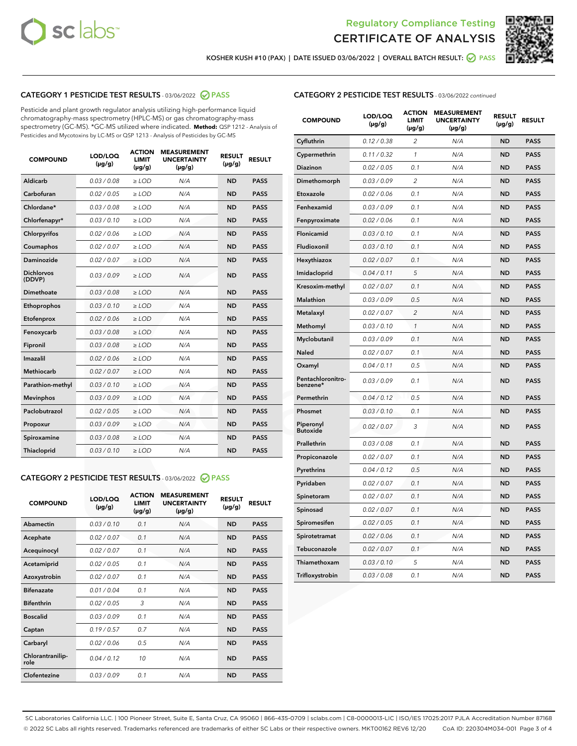



KOSHER KUSH #10 (PAX) | DATE ISSUED 03/06/2022 | OVERALL BATCH RESULT: @ PASS

#### CATEGORY 1 PESTICIDE TEST RESULTS - 03/06/2022 2 PASS

Pesticide and plant growth regulator analysis utilizing high-performance liquid chromatography-mass spectrometry (HPLC-MS) or gas chromatography-mass spectrometry (GC-MS). \*GC-MS utilized where indicated. **Method:** QSP 1212 - Analysis of Pesticides and Mycotoxins by LC-MS or QSP 1213 - Analysis of Pesticides by GC-MS

| <b>COMPOUND</b>             | LOD/LOQ<br>$(\mu g/g)$ | <b>ACTION</b><br>LIMIT<br>$(\mu g/g)$ | <b>MEASUREMENT</b><br><b>UNCERTAINTY</b><br>$(\mu g/g)$ | <b>RESULT</b><br>$(\mu g/g)$ | <b>RESULT</b> |
|-----------------------------|------------------------|---------------------------------------|---------------------------------------------------------|------------------------------|---------------|
| Aldicarb                    | 0.03 / 0.08            | $\ge$ LOD                             | N/A                                                     | <b>ND</b>                    | <b>PASS</b>   |
| Carbofuran                  | 0.02 / 0.05            | $\ge$ LOD                             | N/A                                                     | <b>ND</b>                    | <b>PASS</b>   |
| Chlordane*                  | 0.03/0.08              | $\ge$ LOD                             | N/A                                                     | <b>ND</b>                    | <b>PASS</b>   |
| Chlorfenapyr*               | 0.03/0.10              | $\ge$ LOD                             | N/A                                                     | <b>ND</b>                    | <b>PASS</b>   |
| Chlorpyrifos                | 0.02/0.06              | $\ge$ LOD                             | N/A                                                     | <b>ND</b>                    | <b>PASS</b>   |
| Coumaphos                   | 0.02 / 0.07            | $>$ LOD                               | N/A                                                     | <b>ND</b>                    | <b>PASS</b>   |
| Daminozide                  | 0.02 / 0.07            | $>$ LOD                               | N/A                                                     | <b>ND</b>                    | <b>PASS</b>   |
| <b>Dichlorvos</b><br>(DDVP) | 0.03/0.09              | $\ge$ LOD                             | N/A                                                     | <b>ND</b>                    | <b>PASS</b>   |
| Dimethoate                  | 0.03/0.08              | $>$ LOD                               | N/A                                                     | <b>ND</b>                    | <b>PASS</b>   |
| Ethoprophos                 | 0.03/0.10              | $\ge$ LOD                             | N/A                                                     | <b>ND</b>                    | <b>PASS</b>   |
| Etofenprox                  | 0.02 / 0.06            | $>$ LOD                               | N/A                                                     | <b>ND</b>                    | <b>PASS</b>   |
| Fenoxycarb                  | 0.03/0.08              | $>$ LOD                               | N/A                                                     | <b>ND</b>                    | <b>PASS</b>   |
| Fipronil                    | 0.03/0.08              | $\ge$ LOD                             | N/A                                                     | <b>ND</b>                    | <b>PASS</b>   |
| Imazalil                    | 0.02 / 0.06            | $>$ LOD                               | N/A                                                     | <b>ND</b>                    | <b>PASS</b>   |
| <b>Methiocarb</b>           | 0.02 / 0.07            | $\ge$ LOD                             | N/A                                                     | <b>ND</b>                    | <b>PASS</b>   |
| Parathion-methyl            | 0.03/0.10              | $>$ LOD                               | N/A                                                     | <b>ND</b>                    | <b>PASS</b>   |
| <b>Mevinphos</b>            | 0.03/0.09              | $\ge$ LOD                             | N/A                                                     | <b>ND</b>                    | <b>PASS</b>   |
| Paclobutrazol               | 0.02 / 0.05            | $\ge$ LOD                             | N/A                                                     | <b>ND</b>                    | <b>PASS</b>   |
| Propoxur                    | 0.03/0.09              | $\ge$ LOD                             | N/A                                                     | <b>ND</b>                    | <b>PASS</b>   |
| Spiroxamine                 | 0.03/0.08              | $\ge$ LOD                             | N/A                                                     | <b>ND</b>                    | <b>PASS</b>   |
| Thiacloprid                 | 0.03/0.10              | $>$ LOD                               | N/A                                                     | <b>ND</b>                    | <b>PASS</b>   |
|                             |                        |                                       |                                                         |                              |               |

#### CATEGORY 2 PESTICIDE TEST RESULTS - 03/06/2022 @ PASS

| <b>COMPOUND</b>          | LOD/LOQ<br>$(\mu g/g)$ | <b>ACTION</b><br><b>LIMIT</b><br>$(\mu g/g)$ | <b>MEASUREMENT</b><br><b>UNCERTAINTY</b><br>$(\mu g/g)$ | <b>RESULT</b><br>$(\mu g/g)$ | <b>RESULT</b> |
|--------------------------|------------------------|----------------------------------------------|---------------------------------------------------------|------------------------------|---------------|
| Abamectin                | 0.03/0.10              | 0.1                                          | N/A                                                     | <b>ND</b>                    | <b>PASS</b>   |
| Acephate                 | 0.02/0.07              | 0.1                                          | N/A                                                     | <b>ND</b>                    | <b>PASS</b>   |
| Acequinocyl              | 0.02/0.07              | 0.1                                          | N/A                                                     | <b>ND</b>                    | <b>PASS</b>   |
| Acetamiprid              | 0.02/0.05              | 0.1                                          | N/A                                                     | <b>ND</b>                    | <b>PASS</b>   |
| Azoxystrobin             | 0.02 / 0.07            | 0.1                                          | N/A                                                     | <b>ND</b>                    | <b>PASS</b>   |
| <b>Bifenazate</b>        | 0.01/0.04              | 0.1                                          | N/A                                                     | <b>ND</b>                    | <b>PASS</b>   |
| <b>Bifenthrin</b>        | 0.02 / 0.05            | 3                                            | N/A                                                     | <b>ND</b>                    | <b>PASS</b>   |
| <b>Boscalid</b>          | 0.03/0.09              | 0.1                                          | N/A                                                     | <b>ND</b>                    | <b>PASS</b>   |
| Captan                   | 0.19/0.57              | 0.7                                          | N/A                                                     | <b>ND</b>                    | <b>PASS</b>   |
| Carbaryl                 | 0.02/0.06              | 0.5                                          | N/A                                                     | <b>ND</b>                    | <b>PASS</b>   |
| Chlorantranilip-<br>role | 0.04/0.12              | 10                                           | N/A                                                     | <b>ND</b>                    | <b>PASS</b>   |
| Clofentezine             | 0.03/0.09              | 0.1                                          | N/A                                                     | <b>ND</b>                    | <b>PASS</b>   |

| <b>COMPOUND</b>               | LOD/LOQ<br>(µg/g) | <b>ACTION</b><br><b>LIMIT</b><br>(µg/g) | <b>MEASUREMENT</b><br><b>UNCERTAINTY</b><br>$(\mu g/g)$ | <b>RESULT</b><br>$(\mu g/g)$ | <b>RESULT</b> |
|-------------------------------|-------------------|-----------------------------------------|---------------------------------------------------------|------------------------------|---------------|
| Cyfluthrin                    | 0.12 / 0.38       | $\overline{c}$                          | N/A                                                     | ND                           | <b>PASS</b>   |
| Cypermethrin                  | 0.11 / 0.32       | 1                                       | N/A                                                     | <b>ND</b>                    | <b>PASS</b>   |
| Diazinon                      | 0.02 / 0.05       | 0.1                                     | N/A                                                     | <b>ND</b>                    | <b>PASS</b>   |
| Dimethomorph                  | 0.03 / 0.09       | 2                                       | N/A                                                     | <b>ND</b>                    | <b>PASS</b>   |
| Etoxazole                     | 0.02 / 0.06       | 0.1                                     | N/A                                                     | <b>ND</b>                    | <b>PASS</b>   |
| Fenhexamid                    | 0.03 / 0.09       | 0.1                                     | N/A                                                     | <b>ND</b>                    | <b>PASS</b>   |
| Fenpyroximate                 | 0.02 / 0.06       | 0.1                                     | N/A                                                     | <b>ND</b>                    | <b>PASS</b>   |
| Flonicamid                    | 0.03 / 0.10       | 0.1                                     | N/A                                                     | <b>ND</b>                    | <b>PASS</b>   |
| Fludioxonil                   | 0.03 / 0.10       | 0.1                                     | N/A                                                     | <b>ND</b>                    | <b>PASS</b>   |
| Hexythiazox                   | 0.02 / 0.07       | 0.1                                     | N/A                                                     | <b>ND</b>                    | <b>PASS</b>   |
| Imidacloprid                  | 0.04 / 0.11       | 5                                       | N/A                                                     | <b>ND</b>                    | <b>PASS</b>   |
| Kresoxim-methyl               | 0.02 / 0.07       | 0.1                                     | N/A                                                     | <b>ND</b>                    | <b>PASS</b>   |
| <b>Malathion</b>              | 0.03 / 0.09       | 0.5                                     | N/A                                                     | <b>ND</b>                    | <b>PASS</b>   |
| Metalaxyl                     | 0.02 / 0.07       | $\overline{c}$                          | N/A                                                     | <b>ND</b>                    | <b>PASS</b>   |
| Methomyl                      | 0.03 / 0.10       | $\mathcal{I}$                           | N/A                                                     | <b>ND</b>                    | <b>PASS</b>   |
| Myclobutanil                  | 0.03 / 0.09       | 0.1                                     | N/A                                                     | <b>ND</b>                    | <b>PASS</b>   |
| <b>Naled</b>                  | 0.02 / 0.07       | 0.1                                     | N/A                                                     | <b>ND</b>                    | <b>PASS</b>   |
| Oxamyl                        | 0.04 / 0.11       | 0.5                                     | N/A                                                     | ND                           | <b>PASS</b>   |
| Pentachloronitro-<br>benzene* | 0.03/0.09         | 0.1                                     | N/A                                                     | <b>ND</b>                    | <b>PASS</b>   |
| Permethrin                    | 0.04 / 0.12       | 0.5                                     | N/A                                                     | <b>ND</b>                    | <b>PASS</b>   |
| Phosmet                       | 0.03 / 0.10       | 0.1                                     | N/A                                                     | <b>ND</b>                    | <b>PASS</b>   |
| Piperonyl<br><b>Butoxide</b>  | 0.02 / 0.07       | 3                                       | N/A                                                     | <b>ND</b>                    | <b>PASS</b>   |
| Prallethrin                   | 0.03 / 0.08       | 0.1                                     | N/A                                                     | <b>ND</b>                    | <b>PASS</b>   |
| Propiconazole                 | 0.02 / 0.07       | 0.1                                     | N/A                                                     | <b>ND</b>                    | <b>PASS</b>   |
| Pyrethrins                    | 0.04 / 0.12       | 0.5                                     | N/A                                                     | <b>ND</b>                    | <b>PASS</b>   |
| Pyridaben                     | 0.02 / 0.07       | 0.1                                     | N/A                                                     | <b>ND</b>                    | <b>PASS</b>   |
| Spinetoram                    | 0.02 / 0.07       | 0.1                                     | N/A                                                     | <b>ND</b>                    | <b>PASS</b>   |
| Spinosad                      | 0.02 / 0.07       | 0.1                                     | N/A                                                     | <b>ND</b>                    | <b>PASS</b>   |
| Spiromesifen                  | 0.02 / 0.05       | 0.1                                     | N/A                                                     | <b>ND</b>                    | <b>PASS</b>   |
| Spirotetramat                 | 0.02 / 0.06       | 0.1                                     | N/A                                                     | <b>ND</b>                    | <b>PASS</b>   |
| Tebuconazole                  | 0.02 / 0.07       | 0.1                                     | N/A                                                     | ND                           | <b>PASS</b>   |
| Thiamethoxam                  | 0.03 / 0.10       | 5                                       | N/A                                                     | <b>ND</b>                    | <b>PASS</b>   |
| Trifloxystrobin               | 0.03 / 0.08       | 0.1                                     | N/A                                                     | <b>ND</b>                    | <b>PASS</b>   |

SC Laboratories California LLC. | 100 Pioneer Street, Suite E, Santa Cruz, CA 95060 | 866-435-0709 | sclabs.com | C8-0000013-LIC | ISO/IES 17025:2017 PJLA Accreditation Number 87168 © 2022 SC Labs all rights reserved. Trademarks referenced are trademarks of either SC Labs or their respective owners. MKT00162 REV6 12/20 CoA ID: 220304M034-001 Page 3 of 4